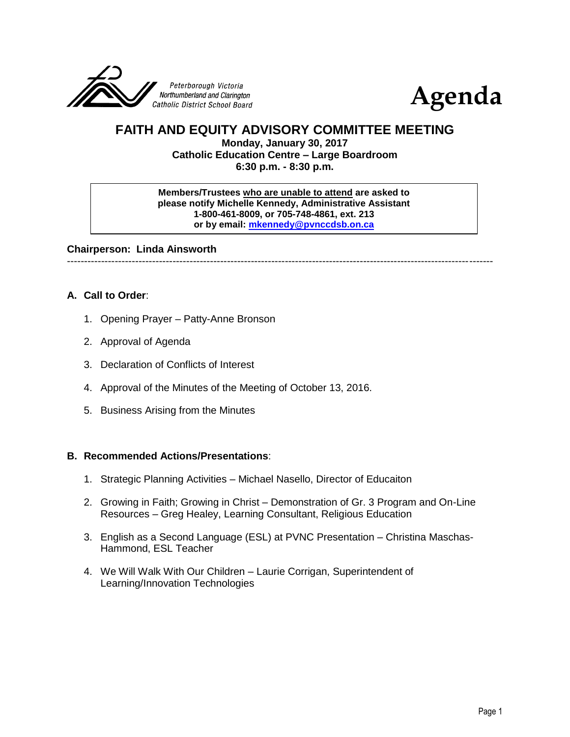



# **FAITH AND EQUITY ADVISORY COMMITTEE MEETING**

**Monday, January 30, 2017 Catholic Education Centre – Large Boardroom 6:30 p.m. - 8:30 p.m.**

**Members/Trustees who are unable to attend are asked to please notify Michelle Kennedy, Administrative Assistant 1-800-461-8009, or 705-748-4861, ext. 213 or by email: [mkennedy@pvnccdsb.on.ca](mailto:mkennedy@pvnccdsb.on.ca)**

**Chairperson: Linda Ainsworth**

-----------------------------------------------------------------------------------------------------------------------------

### **A. Call to Order**:

- 1. Opening Prayer Patty-Anne Bronson
- 2. Approval of Agenda
- 3. Declaration of Conflicts of Interest
- 4. Approval of the Minutes of the Meeting of October 13, 2016.
- 5. Business Arising from the Minutes

#### **B. Recommended Actions/Presentations**:

- 1. Strategic Planning Activities Michael Nasello, Director of Educaiton
- 2. Growing in Faith; Growing in Christ Demonstration of Gr. 3 Program and On-Line Resources – Greg Healey, Learning Consultant, Religious Education
- 3. English as a Second Language (ESL) at PVNC Presentation Christina Maschas-Hammond, ESL Teacher
- 4. We Will Walk With Our Children Laurie Corrigan, Superintendent of Learning/Innovation Technologies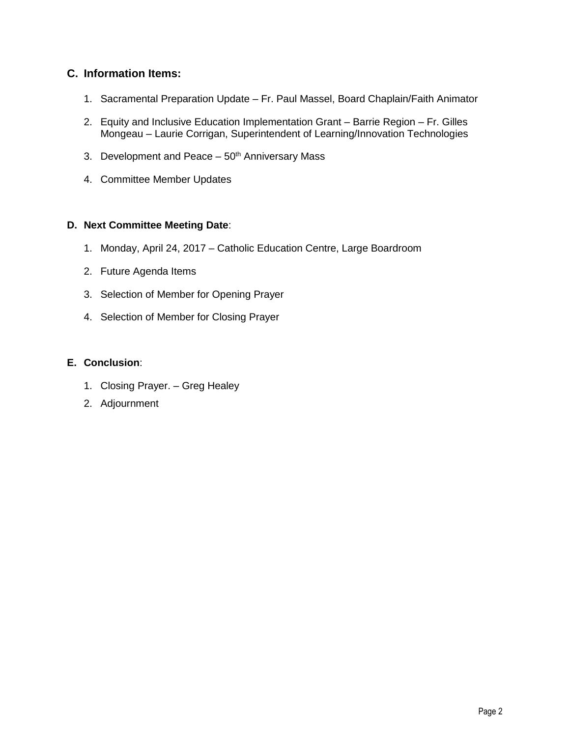# **C. Information Items:**

- 1. Sacramental Preparation Update Fr. Paul Massel, Board Chaplain/Faith Animator
- 2. Equity and Inclusive Education Implementation Grant Barrie Region Fr. Gilles Mongeau – Laurie Corrigan, Superintendent of Learning/Innovation Technologies
- 3. Development and Peace  $-50<sup>th</sup>$  Anniversary Mass
- 4. Committee Member Updates

## **D. Next Committee Meeting Date**:

- 1. Monday, April 24, 2017 Catholic Education Centre, Large Boardroom
- 2. Future Agenda Items
- 3. Selection of Member for Opening Prayer
- 4. Selection of Member for Closing Prayer

### **E. Conclusion**:

- 1. Closing Prayer. Greg Healey
- 2. Adjournment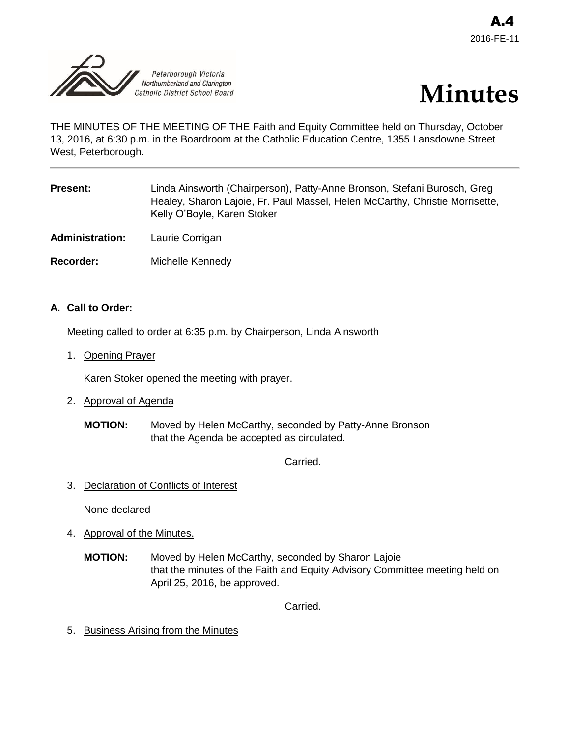



THE MINUTES OF THE MEETING OF THE Faith and Equity Committee held on Thursday, October 13, 2016, at 6:30 p.m. in the Boardroom at the Catholic Education Centre, 1355 Lansdowne Street West, Peterborough.

| <b>Present:</b> | Linda Ainsworth (Chairperson), Patty-Anne Bronson, Stefani Burosch, Greg     |
|-----------------|------------------------------------------------------------------------------|
|                 | Healey, Sharon Lajoie, Fr. Paul Massel, Helen McCarthy, Christie Morrisette, |
|                 | Kelly O'Boyle, Karen Stoker                                                  |
|                 |                                                                              |

**Administration:** Laurie Corrigan

**Recorder:** Michelle Kennedy

### **A. Call to Order:**

Meeting called to order at 6:35 p.m. by Chairperson, Linda Ainsworth

1. Opening Prayer

Karen Stoker opened the meeting with prayer.

- 2. Approval of Agenda
	- **MOTION:** Moved by Helen McCarthy, seconded by Patty-Anne Bronson that the Agenda be accepted as circulated.

Carried.

3. Declaration of Conflicts of Interest

None declared

- 4. Approval of the Minutes.
	- **MOTION:** Moved by Helen McCarthy, seconded by Sharon Lajoie that the minutes of the Faith and Equity Advisory Committee meeting held on April 25, 2016, be approved.

Carried.

5. Business Arising from the Minutes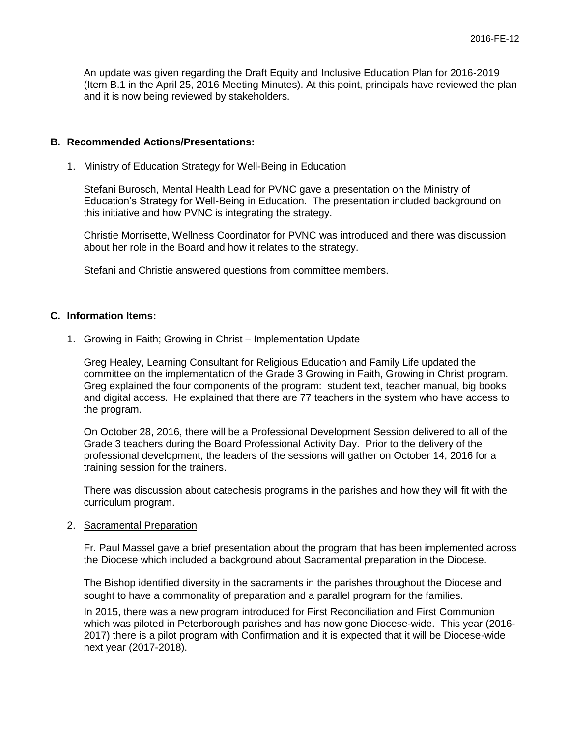An update was given regarding the Draft Equity and Inclusive Education Plan for 2016-2019 (Item B.1 in the April 25, 2016 Meeting Minutes). At this point, principals have reviewed the plan and it is now being reviewed by stakeholders.

#### **B. Recommended Actions/Presentations:**

#### 1. Ministry of Education Strategy for Well-Being in Education

Stefani Burosch, Mental Health Lead for PVNC gave a presentation on the Ministry of Education's Strategy for Well-Being in Education. The presentation included background on this initiative and how PVNC is integrating the strategy.

Christie Morrisette, Wellness Coordinator for PVNC was introduced and there was discussion about her role in the Board and how it relates to the strategy.

Stefani and Christie answered questions from committee members.

#### **C. Information Items:**

#### 1. Growing in Faith; Growing in Christ – Implementation Update

Greg Healey, Learning Consultant for Religious Education and Family Life updated the committee on the implementation of the Grade 3 Growing in Faith, Growing in Christ program. Greg explained the four components of the program: student text, teacher manual, big books and digital access. He explained that there are 77 teachers in the system who have access to the program.

On October 28, 2016, there will be a Professional Development Session delivered to all of the Grade 3 teachers during the Board Professional Activity Day. Prior to the delivery of the professional development, the leaders of the sessions will gather on October 14, 2016 for a training session for the trainers.

There was discussion about catechesis programs in the parishes and how they will fit with the curriculum program.

#### 2. Sacramental Preparation

Fr. Paul Massel gave a brief presentation about the program that has been implemented across the Diocese which included a background about Sacramental preparation in the Diocese.

The Bishop identified diversity in the sacraments in the parishes throughout the Diocese and sought to have a commonality of preparation and a parallel program for the families.

In 2015, there was a new program introduced for First Reconciliation and First Communion which was piloted in Peterborough parishes and has now gone Diocese-wide. This year (2016- 2017) there is a pilot program with Confirmation and it is expected that it will be Diocese-wide next year (2017-2018).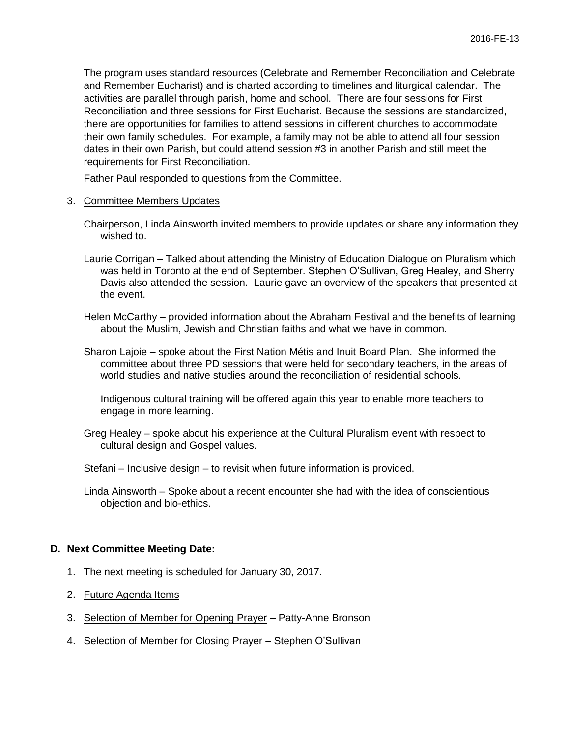The program uses standard resources (Celebrate and Remember Reconciliation and Celebrate and Remember Eucharist) and is charted according to timelines and liturgical calendar. The activities are parallel through parish, home and school. There are four sessions for First Reconciliation and three sessions for First Eucharist. Because the sessions are standardized, there are opportunities for families to attend sessions in different churches to accommodate their own family schedules. For example, a family may not be able to attend all four session dates in their own Parish, but could attend session #3 in another Parish and still meet the requirements for First Reconciliation.

Father Paul responded to questions from the Committee.

- 3. Committee Members Updates
	- Chairperson, Linda Ainsworth invited members to provide updates or share any information they wished to.
	- Laurie Corrigan Talked about attending the Ministry of Education Dialogue on Pluralism which was held in Toronto at the end of September. Stephen O'Sullivan, Greg Healey, and Sherry Davis also attended the session. Laurie gave an overview of the speakers that presented at the event.
	- Helen McCarthy provided information about the Abraham Festival and the benefits of learning about the Muslim, Jewish and Christian faiths and what we have in common.
	- Sharon Lajoie spoke about the First Nation Métis and Inuit Board Plan. She informed the committee about three PD sessions that were held for secondary teachers, in the areas of world studies and native studies around the reconciliation of residential schools.

Indigenous cultural training will be offered again this year to enable more teachers to engage in more learning.

- Greg Healey spoke about his experience at the Cultural Pluralism event with respect to cultural design and Gospel values.
- Stefani Inclusive design to revisit when future information is provided.
- Linda Ainsworth Spoke about a recent encounter she had with the idea of conscientious objection and bio-ethics.

#### **D. Next Committee Meeting Date:**

- 1. The next meeting is scheduled for January 30, 2017.
- 2. Future Agenda Items
- 3. Selection of Member for Opening Prayer Patty-Anne Bronson
- 4. Selection of Member for Closing Prayer Stephen O'Sullivan